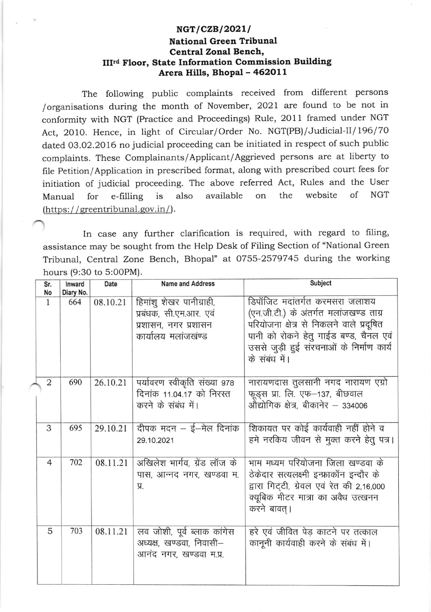## $NGT/CZB/2021/$ National Green Tribunal Central Zonal Bench, IIIrd Floor, State Information Commission Building Arera Hills, Bhopal - 462011

The following public complaints received from different persons /organisations during the month of November, 2O2l are found to be not in conformity with NGT (Practice and Proceedings) Rule, 2011 framed under NGT Act, 2010. Hence, in light of Circular/Order No. NGT(PB)/Judicial-II/196/70 dated 03.02.2016 no judicial proceeding can be initiated in respect of such public complaints. These Complainants/Applicant/Aggrieved persons are at liberty to file Petition/Application in prescribed format, along with prescribed court fees for initiation of judicial proceeding. The above referred Act, Rules and the User Manual for e-filling is also available on the website of NGT  $(\text{https://greentribunal.gov.in/}).$ 

In case any further clarification is required, with regard to filing, assistance may be sought from the Help Desk of Filing Section of "National Green Tribunal, Central Zone Bench, Bhopal" at 0755-2579745 during the working hours (9:30 to 5:00PM).

| Sr.<br>No      | Inward<br>Diary No. | Date     | <b>Name and Address</b>                                                                           | Subject                                                                                                                                                                                                                     |
|----------------|---------------------|----------|---------------------------------------------------------------------------------------------------|-----------------------------------------------------------------------------------------------------------------------------------------------------------------------------------------------------------------------------|
| $\mathbf{1}$   | 664                 | 08.10.21 | हिमांशू शेखर पानीग्राही,<br>प्रबंधक, सी.एम.आर. एवं<br>प्रशासन, नगर प्रशासन<br>कार्यालय मलांजखंण्ड | डिपॉजिट मदांतर्गत करमसरा जलाशय<br>(एन.जी.टी.) के अंतर्गत मलांजखण्ड ताग्र<br>परियोजना क्षेत्र से निकलने वाले प्रदूषित<br>पानी को रोकने हेतु गाईड बण्ड, चैनल एवं<br>उससे जुड़ी हुई संरचनाओं के निर्माण कार्य<br>के संबंध में। |
| $\overline{2}$ | 690                 | 26.10.21 | पर्यावरण स्वीकृति संख्या 978<br>दिनांक 11.04.17 को निरस्त<br>करने के संबंध में।                   | नारायणदास तुलसानी नगद नारायण एग्रो<br>फूड्स प्रा. लि. एफ-137, बीछवाल<br>औद्योगिक क्षेत्र, बीकानेर – 334006                                                                                                                  |
| 3              | 695                 | 29.10.21 | दीपक मदन – ई–मेल दिनांक<br>29.10.2021                                                             | शिकायत पर कोई कार्यवाही नहीं होने व<br>हमे नरकिय जीवन से मुक्त करने हेतु पत्र।                                                                                                                                              |
| $\overline{4}$ | 702                 | 08.11.21 | अखिलेश भार्गव, ग्रेंड लॉज के<br>पास, आन्नद नगर, खण्डवा म.<br>Я.                                   | भाम मध्यम परियोजना जिला खण्डवा के<br>ठेकेदार सत्यलक्ष्मी इन्फ्राकॉन इन्दौर के<br>द्वारा गिट्टी, ग्रेवल एवं रेत की 2,16,000<br>क्यूबिक मीटर मात्रा का अवैध उत्खनन<br>करने बावत् ।                                            |
| 5              | 703                 | 08.11.21 | लव जोशी, पूर्व ब्लाक कांगेस<br>अध्यक्ष, खण्डवा, निवासी–<br>आनंद नगर, खण्डवा म.प्र.                | हरे एवं जीवित पेड़ काटने पर तत्काल<br>कानूनी कार्यवाही करने के संबंध में।                                                                                                                                                   |